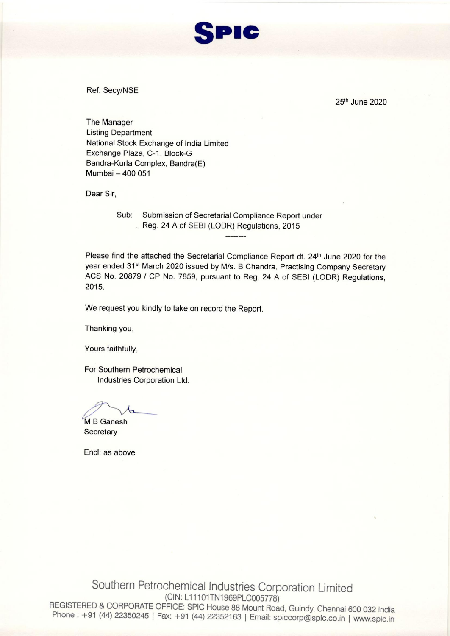

Ref: Secy/NSE

25th June 2020

**The Manager Listing Department** National Stock Exchange of India Limited Exchange Plaza, C-1, Block-G Bandra-Kurla Complex, Bandra(E) Mumbai - 400 051

Dear Sir,

Sub: Submission of Secretarial Compliance Report under Reg. 24 A of SEBI (LODR) Regulations, 2015

Please find the attached the Secretarial Compliance Report dt. 24<sup>th</sup> June 2020 for the year ended 31<sup>st</sup> March 2020 issued by M/s. B Chandra, Practising Company Secretary ACS No. 20879 / CP No. 7859, pursuant to Reg. 24 A of SEBI (LODR) Regulations, 2015.

We request you kindly to take on record the Report.

Thanking you,

Yours faithfully,

For Southern Petrochemical Industries Corporation Ltd.

M B Ganesh Secretary

Encl: as above

Southern Petrochemical Industries Corporation Limited (CIN: L11101TN1969PLC005778) REGISTERED & CORPORATE OFFICE: SPIC House 88 Mount Road, Guindy, Chennai 600 032 India Phone: +91 (44) 22350245 | Fax: +91 (44) 22352163 | Email: spiccorp@spic.co.in | www.spic.in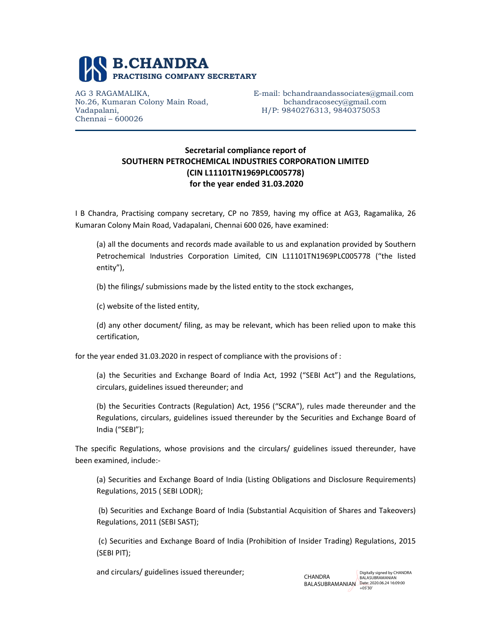

No.26, Kumaran Colony Main Road, bchandracosecy@gmail.com Vadapalani, H/P: 9840276313, 9840375053 Chennai – 600026

AG 3 RAGAMALIKA, E-mail: bchandraandassociates@gmail.com

## Secretarial compliance report of SOUTHERN PETROCHEMICAL INDUSTRIES CORPORATION LIMITED (CIN L11101TN1969PLC005778) for the year ended 31.03.2020

I B Chandra, Practising company secretary, CP no 7859, having my office at AG3, Ragamalika, 26 Kumaran Colony Main Road, Vadapalani, Chennai 600 026, have examined:

(a) all the documents and records made available to us and explanation provided by Southern Petrochemical Industries Corporation Limited, CIN L11101TN1969PLC005778 ("the listed entity"),

(b) the filings/ submissions made by the listed entity to the stock exchanges,

(c) website of the listed entity,

(d) any other document/ filing, as may be relevant, which has been relied upon to make this certification,

for the year ended 31.03.2020 in respect of compliance with the provisions of :

(a) the Securities and Exchange Board of India Act, 1992 ("SEBI Act") and the Regulations, circulars, guidelines issued thereunder; and

(b) the Securities Contracts (Regulation) Act, 1956 ("SCRA"), rules made thereunder and the Regulations, circulars, guidelines issued thereunder by the Securities and Exchange Board of India ("SEBI");

The specific Regulations, whose provisions and the circulars/ guidelines issued thereunder, have been examined, include:-

(a) Securities and Exchange Board of India (Listing Obligations and Disclosure Requirements) Regulations, 2015 ( SEBI LODR);

 (b) Securities and Exchange Board of India (Substantial Acquisition of Shares and Takeovers) Regulations, 2011 (SEBI SAST);

 (c) Securities and Exchange Board of India (Prohibition of Insider Trading) Regulations, 2015 (SEBI PIT);

and circulars/ guidelines issued thereunder;

**CHANDRA** BALASUBRAMANIAN Date: 2020.06.24 16:09:00 Digitally signed by CHANDRA BALASURRAMANIAN +05'30'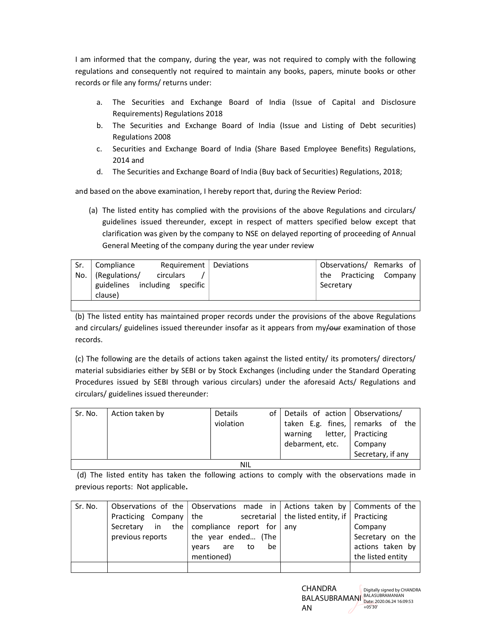I am informed that the company, during the year, was not required to comply with the following regulations and consequently not required to maintain any books, papers, minute books or other records or file any forms/ returns under:

- a. The Securities and Exchange Board of India (Issue of Capital and Disclosure Requirements) Regulations 2018
- b. The Securities and Exchange Board of India (Issue and Listing of Debt securities) Regulations 2008
- c. Securities and Exchange Board of India (Share Based Employee Benefits) Regulations, 2014 and
- d. The Securities and Exchange Board of India (Buy back of Securities) Regulations, 2018;

and based on the above examination, I hereby report that, during the Review Period:

(a) The listed entity has complied with the provisions of the above Regulations and circulars/ guidelines issued thereunder, except in respect of matters specified below except that clarification was given by the company to NSE on delayed reporting of proceeding of Annual General Meeting of the company during the year under review

| Sr. | Compliance                    |           | $Required$   Deviations | Observations/ Remarks of |
|-----|-------------------------------|-----------|-------------------------|--------------------------|
| No. | (Regulations/                 | circulars |                         | the Practicing Company   |
|     | guidelines including specific |           |                         | Secretary                |
|     | clause)                       |           |                         |                          |

(b) The listed entity has maintained proper records under the provisions of the above Regulations and circulars/ guidelines issued thereunder insofar as it appears from my/our examination of those records.

(c) The following are the details of actions taken against the listed entity/ its promoters/ directors/ material subsidiaries either by SEBI or by Stock Exchanges (including under the Standard Operating Procedures issued by SEBI through various circulars) under the aforesaid Acts/ Regulations and circulars/ guidelines issued thereunder:

| Sr. No. | Action taken by | <b>Details</b><br>violation |  | of Details of action   Observations/<br>taken E.g. fines, remarks of the<br>warning<br>debarment, etc. | letter,   Practicing<br>Company<br>Secretary, if any |  |  |
|---------|-----------------|-----------------------------|--|--------------------------------------------------------------------------------------------------------|------------------------------------------------------|--|--|
| NIL     |                 |                             |  |                                                                                                        |                                                      |  |  |

 (d) The listed entity has taken the following actions to comply with the observations made in previous reports: Not applicable.

| Sr. No. |                          | Observations of the Observations made in Actions taken by Comments of the |                                                        |                   |
|---------|--------------------------|---------------------------------------------------------------------------|--------------------------------------------------------|-------------------|
|         | Practicing Company   the |                                                                           | secretarial   the listed entity, if $\vert$ Practicing |                   |
|         |                          | Secretary in the compliance report for any                                |                                                        | Company           |
|         | previous reports         | the year ended (The                                                       |                                                        | Secretary on the  |
|         |                          | be<br>are<br>to<br>vears                                                  |                                                        | actions taken by  |
|         |                          | mentioned)                                                                |                                                        | the listed entity |
|         |                          |                                                                           |                                                        |                   |